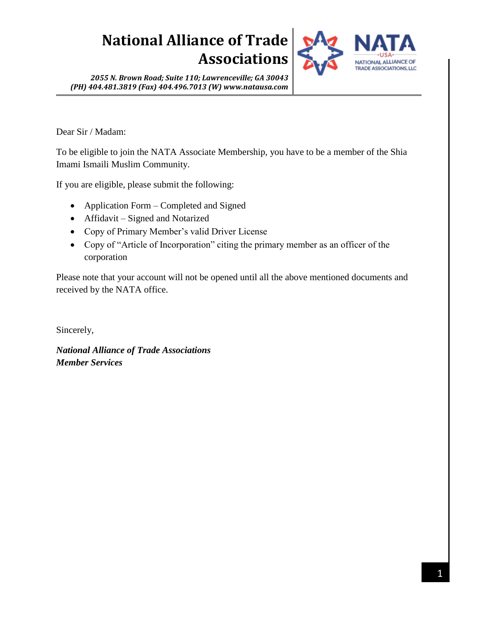

*2055 N. Brown Road; Suite 110; Lawrenceville; GA 30043 (PH) 404.481.3819 (Fax) 404.496.7013 (W) www.natausa.com*

Dear Sir / Madam:

To be eligible to join the NATA Associate Membership, you have to be a member of the Shia Imami Ismaili Muslim Community.

If you are eligible, please submit the following:

- Application Form Completed and Signed
- Affidavit Signed and Notarized
- Copy of Primary Member's valid Driver License
- Copy of "Article of Incorporation" citing the primary member as an officer of the corporation

Please note that your account will not be opened until all the above mentioned documents and received by the NATA office.

Sincerely,

*National Alliance of Trade Associations Member Services*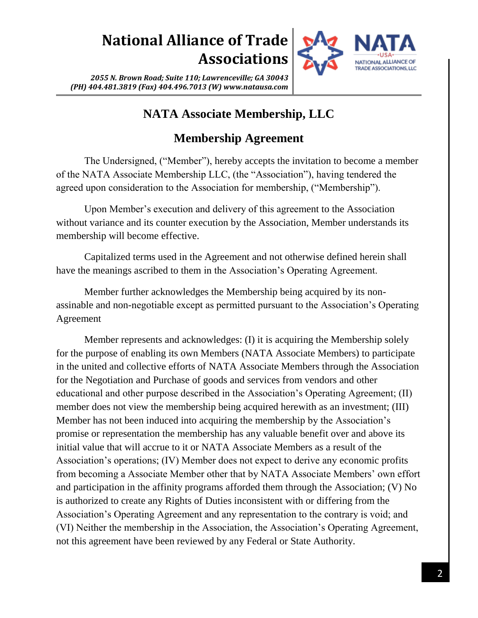

*2055 N. Brown Road; Suite 110; Lawrenceville; GA 30043 (PH) 404.481.3819 (Fax) 404.496.7013 (W) www.natausa.com*

### **NATA Associate Membership, LLC**

#### **Membership Agreement**

The Undersigned, ("Member"), hereby accepts the invitation to become a member of the NATA Associate Membership LLC, (the "Association"), having tendered the agreed upon consideration to the Association for membership, ("Membership").

Upon Member's execution and delivery of this agreement to the Association without variance and its counter execution by the Association, Member understands its membership will become effective.

Capitalized terms used in the Agreement and not otherwise defined herein shall have the meanings ascribed to them in the Association's Operating Agreement.

Member further acknowledges the Membership being acquired by its nonassinable and non-negotiable except as permitted pursuant to the Association's Operating Agreement

Member represents and acknowledges: (I) it is acquiring the Membership solely for the purpose of enabling its own Members (NATA Associate Members) to participate in the united and collective efforts of NATA Associate Members through the Association for the Negotiation and Purchase of goods and services from vendors and other educational and other purpose described in the Association's Operating Agreement; (II) member does not view the membership being acquired herewith as an investment; (III) Member has not been induced into acquiring the membership by the Association's promise or representation the membership has any valuable benefit over and above its initial value that will accrue to it or NATA Associate Members as a result of the Association's operations; (IV) Member does not expect to derive any economic profits from becoming a Associate Member other that by NATA Associate Members' own effort and participation in the affinity programs afforded them through the Association; (V) No is authorized to create any Rights of Duties inconsistent with or differing from the Association's Operating Agreement and any representation to the contrary is void; and (VI) Neither the membership in the Association, the Association's Operating Agreement, not this agreement have been reviewed by any Federal or State Authority.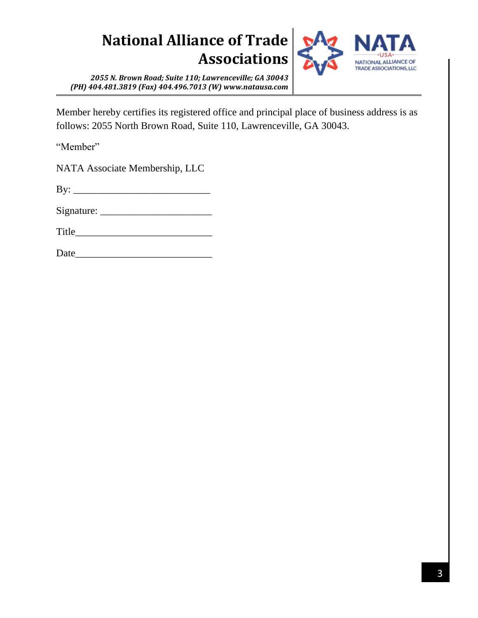

*2055 N. Brown Road; Suite 110; Lawrenceville; GA 30043 (PH) 404.481.3819 (Fax) 404.496.7013 (W) www.natausa.com*

Member hereby certifies its registered office and principal place of business address is as follows: 2055 North Brown Road, Suite 110, Lawrenceville, GA 30043.

"Member"

NATA Associate Membership, LLC

 $\mathbf{B} \mathbf{y}$ :

Signature: \_\_\_\_\_\_\_\_\_\_\_\_\_\_\_\_\_\_\_\_\_\_